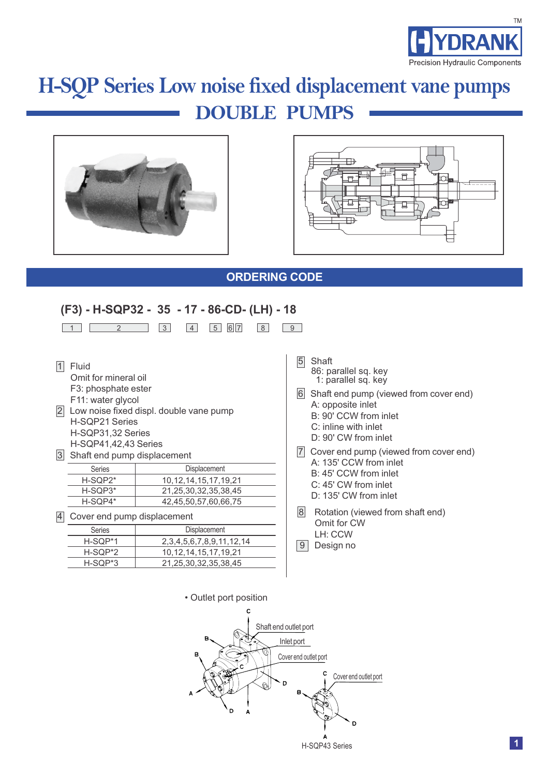

# **DOUBLE PUMPS H-SQP Series Low noise fixed displacement vane pumps**





### **ORDERING CODE**

## **(F3) - H-SQP32 - 35 - 17 - 86-CD- (LH) - 18**

|          | $\overline{2}$                                                                                                                                                                                                     | 3                          | 4 | 5<br>6<br> 7                       | 8 | 9                 |  |  |  |
|----------|--------------------------------------------------------------------------------------------------------------------------------------------------------------------------------------------------------------------|----------------------------|---|------------------------------------|---|-------------------|--|--|--|
| 2 <br> 3 | Fluid<br>Omit for mineral oil<br>F3: phosphate ester<br>F11: water glycol<br>Low noise fixed displ. double vane pump<br>H-SQP21 Series<br>H-SQP31,32 Series<br>H-SQP41,42,43 Series<br>Shaft end pump displacement |                            |   |                                    |   |                   |  |  |  |
|          | <b>Series</b>                                                                                                                                                                                                      | Displacement               |   |                                    |   |                   |  |  |  |
|          | H-SQP2*                                                                                                                                                                                                            | 10, 12, 14, 15, 17, 19, 21 |   |                                    |   |                   |  |  |  |
|          | H-SQP3*                                                                                                                                                                                                            | 21, 25, 30, 32, 35, 38, 45 |   |                                    |   |                   |  |  |  |
|          | H-SQP4*                                                                                                                                                                                                            |                            |   | 42,45,50,57,60,66,75               |   | $\lvert 8 \rvert$ |  |  |  |
| 4        | Cover end pump displacement                                                                                                                                                                                        |                            |   |                                    |   |                   |  |  |  |
|          | <b>Series</b>                                                                                                                                                                                                      |                            |   | Displacement                       |   |                   |  |  |  |
|          | H-SQP*1                                                                                                                                                                                                            |                            |   | 2, 3, 4, 5, 6, 7, 8, 9, 11, 12, 14 |   | 9                 |  |  |  |
|          | H-SQP*2                                                                                                                                                                                                            |                            |   | 10, 12, 14, 15, 17, 19, 21         |   |                   |  |  |  |
|          | H-SQP*3                                                                                                                                                                                                            |                            |   | 21,25,30,32,35,38,45               |   |                   |  |  |  |
|          |                                                                                                                                                                                                                    |                            |   |                                    |   |                   |  |  |  |

- **Shaft** 86: parallel sq. key 1: parallel sq. key
- Shaft end pump (viewed from cover end) A: opposite inlet
	- B: 90' CCW from inlet
	- C: inline with inlet
	- D: 90' CW from inlet
- Cover end pump (viewed from cover end) A: 135' CCW from inlet B: 45' CCW from inlet C: 45' CW from inlet D: 135' CW from inlet
- Rotation (viewed from shaft end) Omit for CW LH: CCW
- Design no